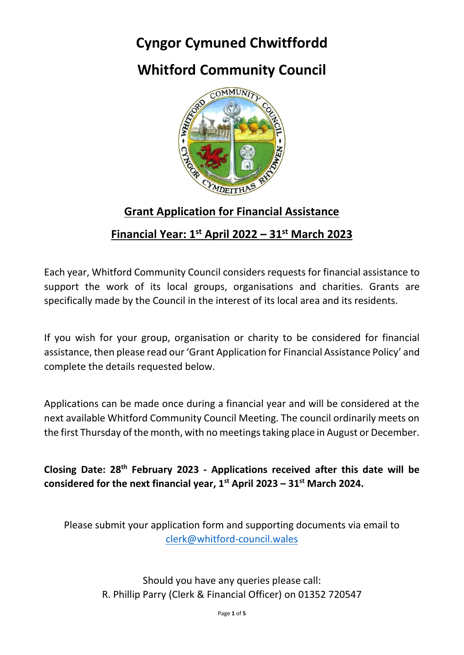# **Cyngor Cymuned Chwitffordd**

# **Whitford Community Council**



#### **Grant Application for Financial Assistance**

#### **Financial Year: 1st April 2022 – 31st March 2023**

Each year, Whitford Community Council considers requests for financial assistance to support the work of its local groups, organisations and charities. Grants are specifically made by the Council in the interest of its local area and its residents.

If you wish for your group, organisation or charity to be considered for financial assistance, then please read our 'Grant Application for Financial Assistance Policy' and complete the details requested below.

Applications can be made once during a financial year and will be considered at the next available Whitford Community Council Meeting. The council ordinarily meets on the first Thursday of the month, with no meetings taking place in August or December.

**Closing Date: 28th February 2023 - Applications received after this date will be considered for the next financial year, 1st April 2023 – 31st March 2024.**

Please submit your application form and supporting documents via email to [clerk@whitford-council.wales](mailto:clerk@whitford-council.wales)

> Should you have any queries please call: R. Phillip Parry (Clerk & Financial Officer) on 01352 720547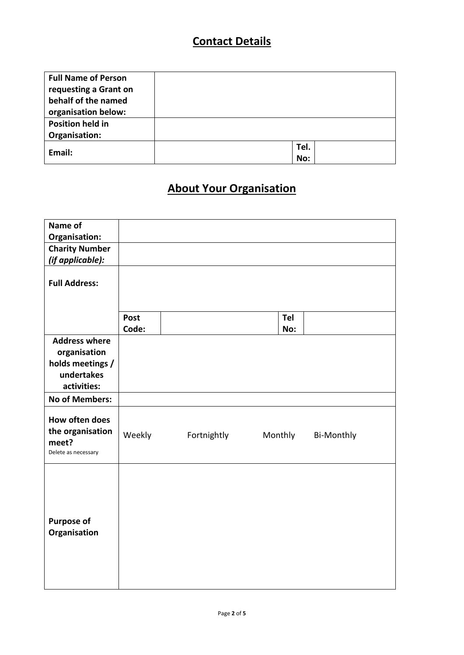## **Contact Details**

| <b>Full Name of Person</b> |      |  |
|----------------------------|------|--|
| requesting a Grant on      |      |  |
| behalf of the named        |      |  |
| organisation below:        |      |  |
| <b>Position held in</b>    |      |  |
| Organisation:              |      |  |
| Email:                     | Tel. |  |
|                            | No:  |  |

## **About Your Organisation**

| Name of                                                                               |             |             |         |                   |
|---------------------------------------------------------------------------------------|-------------|-------------|---------|-------------------|
| Organisation:                                                                         |             |             |         |                   |
| <b>Charity Number</b>                                                                 |             |             |         |                   |
| (if applicable):                                                                      |             |             |         |                   |
| <b>Full Address:</b>                                                                  |             |             |         |                   |
|                                                                                       | <b>Post</b> |             | Tel     |                   |
|                                                                                       | Code:       |             | No:     |                   |
| <b>Address where</b><br>organisation<br>holds meetings /<br>undertakes<br>activities: |             |             |         |                   |
| <b>No of Members:</b>                                                                 |             |             |         |                   |
| How often does<br>the organisation<br>meet?<br>Delete as necessary                    | Weekly      | Fortnightly | Monthly | <b>Bi-Monthly</b> |
| <b>Purpose of</b><br>Organisation                                                     |             |             |         |                   |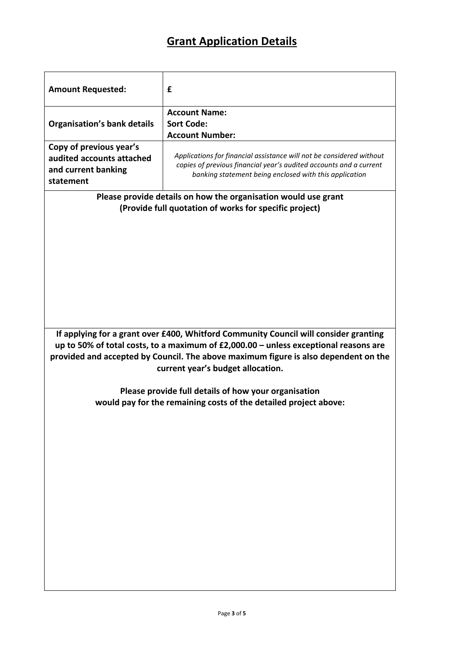## **Grant Application Details**

| <b>Amount Requested:</b>                                                                                                                                                                                                                                                                                   | £                                                                    |  |
|------------------------------------------------------------------------------------------------------------------------------------------------------------------------------------------------------------------------------------------------------------------------------------------------------------|----------------------------------------------------------------------|--|
|                                                                                                                                                                                                                                                                                                            | <b>Account Name:</b>                                                 |  |
| <b>Organisation's bank details</b>                                                                                                                                                                                                                                                                         | <b>Sort Code:</b>                                                    |  |
|                                                                                                                                                                                                                                                                                                            | <b>Account Number:</b>                                               |  |
| Copy of previous year's                                                                                                                                                                                                                                                                                    |                                                                      |  |
| audited accounts attached                                                                                                                                                                                                                                                                                  | Applications for financial assistance will not be considered without |  |
| and current banking                                                                                                                                                                                                                                                                                        | copies of previous financial year's audited accounts and a current   |  |
| statement                                                                                                                                                                                                                                                                                                  | banking statement being enclosed with this application               |  |
|                                                                                                                                                                                                                                                                                                            |                                                                      |  |
| Please provide details on how the organisation would use grant<br>(Provide full quotation of works for specific project)                                                                                                                                                                                   |                                                                      |  |
|                                                                                                                                                                                                                                                                                                            |                                                                      |  |
| If applying for a grant over £400, Whitford Community Council will consider granting<br>up to 50% of total costs, to a maximum of $£2,000.00 -$ unless exceptional reasons are<br>provided and accepted by Council. The above maximum figure is also dependent on the<br>current year's budget allocation. |                                                                      |  |
|                                                                                                                                                                                                                                                                                                            |                                                                      |  |
| Please provide full details of how your organisation<br>would pay for the remaining costs of the detailed project above:                                                                                                                                                                                   |                                                                      |  |
|                                                                                                                                                                                                                                                                                                            |                                                                      |  |
|                                                                                                                                                                                                                                                                                                            |                                                                      |  |
|                                                                                                                                                                                                                                                                                                            |                                                                      |  |
|                                                                                                                                                                                                                                                                                                            |                                                                      |  |
|                                                                                                                                                                                                                                                                                                            |                                                                      |  |
|                                                                                                                                                                                                                                                                                                            |                                                                      |  |
|                                                                                                                                                                                                                                                                                                            |                                                                      |  |
|                                                                                                                                                                                                                                                                                                            |                                                                      |  |
|                                                                                                                                                                                                                                                                                                            |                                                                      |  |
|                                                                                                                                                                                                                                                                                                            |                                                                      |  |
|                                                                                                                                                                                                                                                                                                            |                                                                      |  |
|                                                                                                                                                                                                                                                                                                            |                                                                      |  |
|                                                                                                                                                                                                                                                                                                            |                                                                      |  |
|                                                                                                                                                                                                                                                                                                            |                                                                      |  |
|                                                                                                                                                                                                                                                                                                            |                                                                      |  |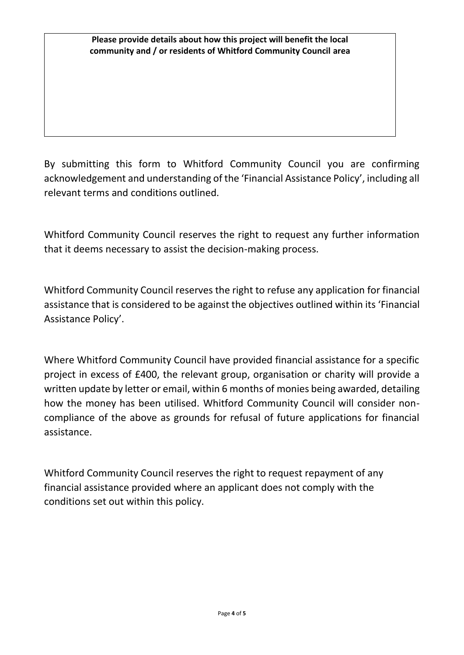#### **Please provide details about how this project will benefit the local community and / or residents of Whitford Community Council area**

By submitting this form to Whitford Community Council you are confirming acknowledgement and understanding of the 'Financial Assistance Policy', including all relevant terms and conditions outlined.

Whitford Community Council reserves the right to request any further information that it deems necessary to assist the decision-making process.

Whitford Community Council reserves the right to refuse any application for financial assistance that is considered to be against the objectives outlined within its 'Financial Assistance Policy'.

Where Whitford Community Council have provided financial assistance for a specific project in excess of £400, the relevant group, organisation or charity will provide a written update by letter or email, within 6 months of monies being awarded, detailing how the money has been utilised. Whitford Community Council will consider noncompliance of the above as grounds for refusal of future applications for financial assistance.

Whitford Community Council reserves the right to request repayment of any financial assistance provided where an applicant does not comply with the conditions set out within this policy.